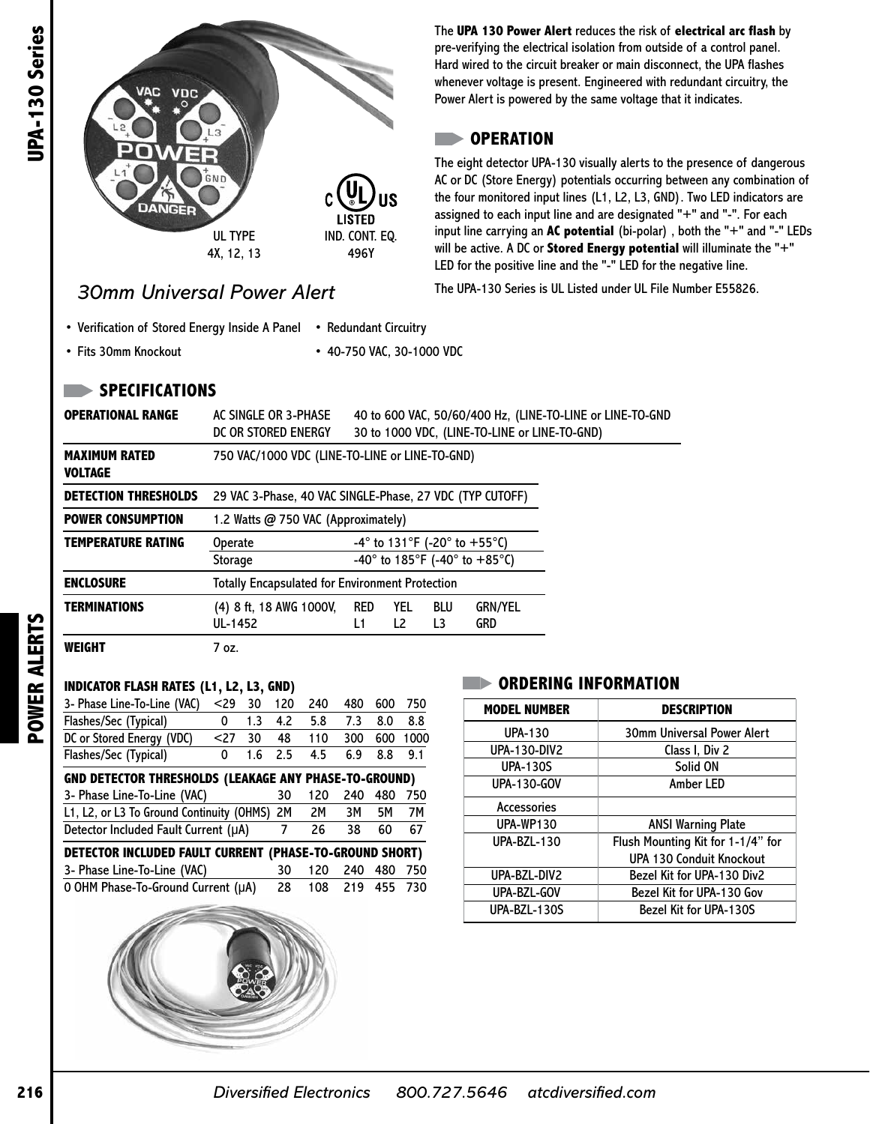

## *30mm Universal Power Alert*

The **UPA 130 Power Alert** reduces the risk of **electrical arc flash** by pre-verifying the electrical isolation from outside of a control panel. Hard wired to the circuit breaker or main disconnect, the UPA flashes whenever voltage is present. Engineered with redundant circuitry, the Power Alert is powered by the same voltage that it indicates.

## **OPERATION**

The eight detector UPA-130 visually alerts to the presence of dangerous AC or DC (Store Energy) potentials occurring between any combination of the four monitored input lines (L1, L2, L3, GND). Two LED indicators are assigned to each input line and are designated "+" and "-". For each input line carrying an **AC potential** (bi-polar) , both the "+" and "-" LEDs will be active. A DC or **Stored Energy potential** will illuminate the "+" LED for the positive line and the "-" LED for the negative line.

The UPA-130 Series is UL Listed under UL File Number E55826.

- Verification of Stored Energy Inside A Panel Redundant Circuitry
- Fits 30mm Knockout
- 40-750 VAC, 30-1000 VDC
- **SPECIFICATIONS**

| UPA-130 Series | <b>VAC</b><br><b>VDC</b>                                                           |                                                                                                                                                           |                |            |                                 |             |                                                                                                   | The UPA 130 Power Alert reduces the risk of<br>pre-verifying the electrical isolation from outsi<br>Hard wired to the circuit breaker or main disco<br>whenever voltage is present. Engineered with<br>Power Alert is powered by the same voltage th |                                                                                                                                                     |  |                                   |
|----------------|------------------------------------------------------------------------------------|-----------------------------------------------------------------------------------------------------------------------------------------------------------|----------------|------------|---------------------------------|-------------|---------------------------------------------------------------------------------------------------|------------------------------------------------------------------------------------------------------------------------------------------------------------------------------------------------------------------------------------------------------|-----------------------------------------------------------------------------------------------------------------------------------------------------|--|-----------------------------------|
|                |                                                                                    | GND                                                                                                                                                       |                |            |                                 |             |                                                                                                   |                                                                                                                                                                                                                                                      | <b>OPERATION</b><br>The eight detector UPA-130 visually alerts to t<br>AC or DC (Store Energy) potentials occurring b                               |  |                                   |
|                | DANGER                                                                             | <b>UL TYPE</b>                                                                                                                                            |                |            | <b>LISTED</b><br>IND. CONT. EQ. | JS          |                                                                                                   |                                                                                                                                                                                                                                                      | the four monitored input lines (L1, L2, L3, GNI<br>assigned to each input line and are designated<br>input line carrying an AC potential (bi-polar) |  |                                   |
|                |                                                                                    | 4X, 12, 13                                                                                                                                                |                | 496Y       |                                 |             | will be active. A DC or Stored Energy potenti<br>LED for the positive line and the "-" LED for th |                                                                                                                                                                                                                                                      |                                                                                                                                                     |  |                                   |
|                | The UPA-130 Series is UL Listed under UL File<br><b>30mm Universal Power Alert</b> |                                                                                                                                                           |                |            |                                 |             |                                                                                                   |                                                                                                                                                                                                                                                      |                                                                                                                                                     |  |                                   |
|                | • Verification of Stored Energy Inside A Panel<br>• Redundant Circuitry            |                                                                                                                                                           |                |            |                                 |             |                                                                                                   |                                                                                                                                                                                                                                                      |                                                                                                                                                     |  |                                   |
|                | • Fits 30mm Knockout                                                               |                                                                                                                                                           |                |            |                                 |             |                                                                                                   | • 40-750 VAC, 30-1000 VDC                                                                                                                                                                                                                            |                                                                                                                                                     |  |                                   |
|                | <b>SPECIFICATIONS</b>                                                              |                                                                                                                                                           |                |            |                                 |             |                                                                                                   |                                                                                                                                                                                                                                                      |                                                                                                                                                     |  |                                   |
|                | <b>OPERATIONAL RANGE</b>                                                           | 40 to 600 VAC, 50/60/400 Hz, (LINE-TO-LINE or LINE-TO-GND<br>AC SINGLE OR 3-PHASE<br>DC OR STORED ENERGY<br>30 to 1000 VDC, (LINE-TO-LINE or LINE-TO-GND) |                |            |                                 |             |                                                                                                   |                                                                                                                                                                                                                                                      |                                                                                                                                                     |  |                                   |
|                | <b>MAXIMUM RATED</b><br><b>VOLTAGE</b>                                             | 750 VAC/1000 VDC (LINE-TO-LINE or LINE-TO-GND)                                                                                                            |                |            |                                 |             |                                                                                                   |                                                                                                                                                                                                                                                      |                                                                                                                                                     |  |                                   |
|                | <b>DETECTION THRESHOLDS</b>                                                        | 29 VAC 3-Phase, 40 VAC SINGLE-Phase, 27 VDC (TYP CUTOFF)                                                                                                  |                |            |                                 |             |                                                                                                   |                                                                                                                                                                                                                                                      |                                                                                                                                                     |  |                                   |
|                | <b>POWER CONSUMPTION</b>                                                           | 1.2 Watts @ 750 VAC (Approximately)                                                                                                                       |                |            |                                 |             |                                                                                                   |                                                                                                                                                                                                                                                      |                                                                                                                                                     |  |                                   |
|                | <b>TEMPERATURE RATING</b>                                                          | $-4^{\circ}$ to 131°F (-20° to +55°C)<br><b>Operate</b><br>-40° to 185°F (-40° to +85°C)<br>Storage                                                       |                |            |                                 |             |                                                                                                   |                                                                                                                                                                                                                                                      |                                                                                                                                                     |  |                                   |
|                | <b>ENCLOSURE</b><br><b>Totally Encapsulated for Environment Protection</b>         |                                                                                                                                                           |                |            |                                 |             |                                                                                                   |                                                                                                                                                                                                                                                      |                                                                                                                                                     |  |                                   |
| <b>ERTS</b>    | <b>TERMINATIONS</b>                                                                | (4) 8 ft, 18 AWG 1000V,<br>UL-1452                                                                                                                        |                |            | RED<br>L1                       |             | YEL<br>L <sub>2</sub>                                                                             | BLU<br>L <sub>3</sub>                                                                                                                                                                                                                                | <b>GRN/YEL</b><br><b>GRD</b>                                                                                                                        |  |                                   |
| ⋖              | <b>WEIGHT</b>                                                                      | 7 oz.                                                                                                                                                     |                |            |                                 |             |                                                                                                   |                                                                                                                                                                                                                                                      |                                                                                                                                                     |  |                                   |
| <b>POWER</b>   | <b>INDICATOR FLASH RATES (L1, L2, L3, GND)</b>                                     |                                                                                                                                                           |                |            |                                 |             |                                                                                                   |                                                                                                                                                                                                                                                      | <b>ORDERING INFORMATIO</b>                                                                                                                          |  |                                   |
|                | 3- Phase Line-To-Line (VAC)<br>Flashes/Sec (Typical)                               | $<$ 29 30 120<br>1.3<br>0                                                                                                                                 | 4.2            | 240<br>5.8 | 480<br>7.3                      | 600<br>8.0  | 750<br>8.8                                                                                        |                                                                                                                                                                                                                                                      | <b>MODEL NUMBER</b>                                                                                                                                 |  | D                                 |
|                | DC or Stored Energy (VDC)                                                          | $27$<br>30 <sup>°</sup>                                                                                                                                   | 48             | 110        | 300                             |             | 600 1000                                                                                          |                                                                                                                                                                                                                                                      | <b>UPA-130</b>                                                                                                                                      |  | 30mm Ur                           |
|                | Flashes/Sec (Typical)                                                              | 1.6<br>0                                                                                                                                                  | 2.5            | 4.5        | 6.9                             | 8.8         | 9.1                                                                                               |                                                                                                                                                                                                                                                      | <b>UPA-130-DIV2</b>                                                                                                                                 |  | C                                 |
|                |                                                                                    | <b>GND DETECTOR THRESHOLDS (LEAKAGE ANY PHASE-TO-GROUND)</b>                                                                                              |                |            |                                 |             |                                                                                                   |                                                                                                                                                                                                                                                      | <b>UPA-130S</b>                                                                                                                                     |  |                                   |
|                | 3- Phase Line-To-Line (VAC)                                                        |                                                                                                                                                           | 30             | 120        | 240                             |             | 480 750                                                                                           |                                                                                                                                                                                                                                                      | <b>UPA-130-GOV</b>                                                                                                                                  |  |                                   |
|                | L1, L2, or L3 To Ground Continuity (OHMS)                                          |                                                                                                                                                           | 2M             | 2M         | 3M                              | <b>5M</b>   | 7M                                                                                                |                                                                                                                                                                                                                                                      | Accessories                                                                                                                                         |  |                                   |
|                | Detector Included Fault Current (µA)                                               |                                                                                                                                                           | $\overline{7}$ | 26         | 38                              | 60          | 67                                                                                                |                                                                                                                                                                                                                                                      | <b>UPA-WP130</b>                                                                                                                                    |  | <b>ANS</b>                        |
|                | DETECTOR INCLUDED FAULT CURRENT (PHASE-TO-GROUND SHORT)                            |                                                                                                                                                           |                |            |                                 |             |                                                                                                   |                                                                                                                                                                                                                                                      | <b>UPA-BZL-130</b>                                                                                                                                  |  | <b>Flush Moun</b>                 |
|                | 3- Phase Line-To-Line (VAC)                                                        |                                                                                                                                                           | 30             | 120        |                                 | 240 480 750 |                                                                                                   |                                                                                                                                                                                                                                                      | UPA-BZL-DIV2                                                                                                                                        |  | <b>UPA 130</b><br><b>Bezel Ki</b> |
|                | 0 OHM Phase-To-Ground Current (µA)                                                 |                                                                                                                                                           | 28             | 108        |                                 | 219 455 730 |                                                                                                   |                                                                                                                                                                                                                                                      | UPA-BZL-GOV                                                                                                                                         |  | <b>Bezel K</b>                    |
|                |                                                                                    |                                                                                                                                                           |                |            |                                 |             |                                                                                                   |                                                                                                                                                                                                                                                      | UPA-BZL-130S                                                                                                                                        |  | Bezel                             |
|                |                                                                                    |                                                                                                                                                           |                |            |                                 |             |                                                                                                   |                                                                                                                                                                                                                                                      |                                                                                                                                                     |  |                                   |
| 216            |                                                                                    | <b>Diversified Electronics</b>                                                                                                                            |                |            |                                 |             |                                                                                                   |                                                                                                                                                                                                                                                      | 800.727.5646                                                                                                                                        |  | atcdiversified.com                |

## **INDICATOR FLASH RATES (L1, L2, L3, GND)**

| 3- Phase Line-To-Line (VAC)                                  | $29$ | 30  | 120 | 240 | 480 | 600 | 750  |
|--------------------------------------------------------------|------|-----|-----|-----|-----|-----|------|
| Flashes/Sec (Typical)                                        | 0    | 1.3 | 4.2 | 5.8 | 7.3 | 8.0 | 8.8  |
| DC or Stored Energy (VDC)                                    | $27$ | 30  | 48  | 110 | 300 | 600 | 1000 |
| Flashes/Sec (Typical)                                        | 0    | 1.6 | 2.5 | 4.5 | 6.9 | 8.8 | 9.1  |
| <b>GND DETECTOR THRESHOLDS (LEAKAGE ANY PHASE-TO-GROUND)</b> |      |     |     |     |     |     |      |
| 3- Phase Line-To-Line (VAC)                                  |      |     | 30  | 120 | 240 | 480 | 750  |
| L1, L2, or L3 To Ground Continuity (OHMS)                    | 2M   | 2M  | 3M  | 5M  | 7M  |     |      |
| Detector Included Fault Current (µA)                         | 7    | 26  | 38  | 60  | 67  |     |      |
| DETECTOR INCLUDED FAULT CURRENT (PHASE-TO-GROUND SHORT)      |      |     |     |     |     |     |      |
| 3- Phase Line-To-Line (VAC)                                  |      |     | 30  | 120 | 240 | 480 | 750  |
| O OHM Phase-To-Ground Current (µA)                           | 28   | 108 | 219 | 455 | 730 |     |      |
|                                                              |      |     |     |     |     |     |      |
|                                                              |      |     |     |     |     |     |      |
|                                                              |      |     |     |     |     |     |      |



| <b>MODEL NUMBER</b> | <b>DESCRIPTION</b>                |  |  |  |  |
|---------------------|-----------------------------------|--|--|--|--|
| <b>UPA-130</b>      | <b>30mm Universal Power Alert</b> |  |  |  |  |
| <b>UPA-130-DIV2</b> | Class I, Div 2                    |  |  |  |  |
| <b>UPA-130S</b>     | Solid ON                          |  |  |  |  |
| <b>UPA-130-GOV</b>  | Amber LED                         |  |  |  |  |
| <b>Accessories</b>  |                                   |  |  |  |  |
| <b>UPA-WP130</b>    | <b>ANSI Warning Plate</b>         |  |  |  |  |
| <b>UPA-BZL-130</b>  | Flush Mounting Kit for 1-1/4" for |  |  |  |  |
|                     | <b>UPA 130 Conduit Knockout</b>   |  |  |  |  |
| UPA-BZL-DIV2        | Bezel Kit for UPA-130 Div2        |  |  |  |  |
| UPA-BZL-GOV         | Bezel Kit for UPA-130 Gov         |  |  |  |  |
| UPA-BZL-130S        | Bezel Kit for UPA-130S            |  |  |  |  |